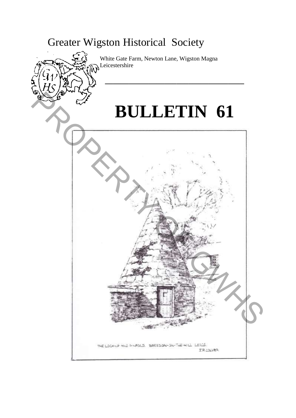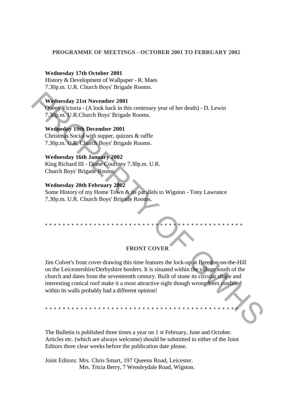## **PROGRAMME OF MEETINGS - OCTOBER 2001 TO FEBRUARY 2002**

### **Wednesday 17th October 2001**

History & Development of Wallpaper - R. Maes 7.30p.m. U.R. Church Boys' Brigade Rooms.

### **Wednesday 21st November 2001**

Queen Victoria - (A look back in this centenary year of her death) - D. Lewin 7.30p.m. U.R.Church Boys' Brigade Rooms.

# **Wedneday 19th December 2001**

Christmas Social with supper, quizzes & raffle 7.30p.m. U.R. Church Boys' Brigade Rooms.

# **Wednesday 16th January 2002**

King Richard III - Diane Courtney 7.30p.m. U.R. Church Boys' Brigade Rooms.

# **Wednesday 20th February 2002**

Some History of my Home Town & its parallels to Wigston - Tony Lawrance 7.30p.m. U.R. Church Boys' Brigade Rooms.

#### **FRONT COVER**

\* \* \* \* \* \* \* \* \* \* \* \* \* \* \* \* \* \* \* \* \* \* \* \* \* \* \* \* \* \* \* \* \* \* \* \* \* \* \* \* \* \* \* \* \*

Jim Colver's front cover drawing this time features the lock-up at Breedon-on-the-Hill on the Leicestershire/Derbyshire borders. It is situated within the village south of the church and dates from the seventeenth century. Built of stone its circular shape and interesting conical roof make it a most attractive sight though wrongdoers confined within its walls probably had a different opinion! Wednesday 21st November 2001<br>
Officer Victoria - (A look back in this centerary year of her death) - D. Lewin<br>
7.30p.m. U.R.Church Boys' Brigade Rooms.<br>
Wednesday 16th December 2001<br>
Christmas Social with supper, quizzes &

\* \* \* \* \* \* \* \* \* \* \* \* \* \* \* \* \* \* \* \* \* \* \* \* \* \* \* \* \* \* \* \* \* \* \* \* \* \* \* \* \* \* \* \*

The Bulletin is published three times a year on 1 st February, June and October. Articles etc. (which are always welcome) should be submitted to either of the Joint Editors three clear weeks before the publication date please.

Joint Editors: Mrs. Chris Smart, 197 Queens Road, Leicester. Mrs. Tricia Berry, 7 Wensleydale Road, Wigston.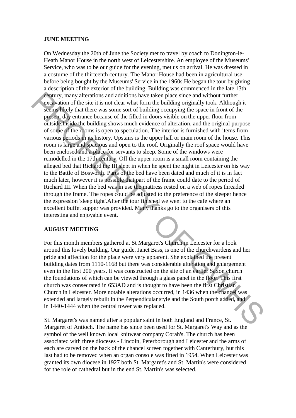#### **JUNE MEETING**

On Wednesday the 20th of June the Society met to travel by coach to Donington-le-Heath Manor House in the north west of Leicestershire. An employee of the Museums' Service, who was to be our guide for the evening, met us on arrival. He was dressed in a costume of the thirteenth century. The Manor House had been in agricultural use before being bought by the Museums' Service in the 1960s.He began the tour by giving a description of the exterior of the building. Building was commenced in the late 13th century, many alterations and additions have taken place since and without further excavation of the site it is not clear what form the building originally took. Although it seems likely that there was some sort of building occupying the space in front of the present day entrance because of the filled in doors visible on the upper floor from outside.Inside the building shows much evidence of alteration, and the original purpose of some of the rooms is open to speculation. The interior is furnished with items from various periods in its history. Upstairs is the upper hall or main room of the house. This room is large and spacious and open to the roof. Originally the roof space would have been enclosed and a place for servants to sleep. Some of the windows were remodelled in the 17th century. Off the upper room is a small room containing the alleged bed that Richard the III slept in when he spent the night in Leicester on his way to the Battle of Bosworth. Parts of the bed have been dated and much of it is in fact much later, however it is possible that part of the frame could date to the period of Richard III. When the bed was in use the mattress rested on a web of ropes threaded through the frame. The ropes could be adjusted to the preference of the sleeper hence the expression 'sleep tight'.After the tour finished we went to the cafe where an excellent buffet supper was provided. Many thanks go to the organisers of this interesting and enjoyable event. **Example,** many alternations and additions have taken place since and without three places the state place is the state place of the filled in doors wished of the mergera day energy of solidary and the properties decision

### **AUGUST MEETING**

For this month members gathered at St Margaret's Church in Leicester for a look around this lovely building. Our guide, Janet Bass, is one of the churchwardens and her pride and affection for the place were very apparent. She explained the present building dates from 1110-1168 but there was considerable alteration and enlargement even in the first 200 years. It was constructed on the site of an earlier Saxon church the foundations of which can be viewed through a glass panel in the floor. This first church was consecrated in 653AD and is thought to have been the first Christian Church in Leicester. More notable alterations occurred, in 1436 when the chancel was extended and largely rebuilt in the Perpendicular style and the South porch added, and in 1440-1444 when the central tower was replaced.

St. Margaret's was named after a popular saint in both England and France, St. Margaret of Antioch. The name has since been used for St. Margaret's Way and as the symbol of the well known local knitwear company Corah's. The church has been associated with three dioceses - Lincoln, Peterborough and Leicester and the arms of each are carved on the back of the chancel screen together with Canterbury, but this last had to be removed when an organ console was fitted in 1954. When Leicester was granted its own diocese in 1927 both St. Margaret's and St. Martin's were considered for the role of cathedral but in the end St. Martin's was selected.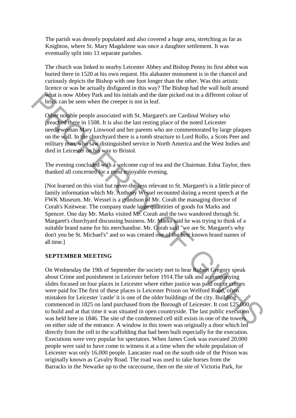The parish was densely populated and also covered a huge area, stretching as far as Knighton, where St. Mary Magdalene was once a daughter settlement. It was eventually split into 13 separate parishes.

The church was linked to nearby Leicester Abbey and Bishop Penny its first abbot was buried there in 1520 at his own request. His alabaster monument is in the chancel and curiously depicts the Bishop with one foot longer than the other. Was this artistic licence or was he actually disfigured in this way? The Bishop had the wall built around what is now Abbey Park and his initials and the date picked out in a different colour of brick can be seen when the creeper is not in leaf.

Other notable people associated with St. Margaret's are Cardinal Wolsey who preached there in 1508. It is also the last resting place of the noted Leicester needlewoman Mary Linwood and her parents who are commemorated by large plaques on the wall. In the churchyard there is a tomb structure to Lord Rollo, a Scots Peer and military man, who saw distinguished service in North America and the West Indies and died in Leicester on his way to Bristol.

The evening concluded with a welcome cup of tea and the Chairman. Edna Taylor, then thanked all concerned for a most enjoyable evening.

[Not learned on this visit but never-the-less relevant to St. Margaret's is a little piece of family information which Mr. Anthony Wessel recounted during a recent speech at the FWK Museum. Mr. Wessel is a grandson of Mr. Corah the managing director of Corah's Knitwear. The company made large quantities of goods for Marks and Spencer. One day Mr. Marks visited Mr. Corah and the two wandered through St. Margaret's churchyard discussing business. Mr. Marks said he was trying to think of a suitable brand name for his merchandise. Mr. Corah said "we are St. Margaret's why don't you be St. Michael's" and so was created one of the best known brand names of all time.] White is now Abbey Park and his initials and the date picked out in a different colour of<br>
which is now Abbey Park and his initials and the date picked out in a different colour of<br>
Ofter nodable people associated with St

# **SEPTEMBER MEETING**

On Wednesday the 19th of September the society met to hear Robert Gregory speak about Crime and punishment in Leicester before 1914.The talk and accompanying slides focused on four places in Leicester where either justice was paid out or crimes were paid for.The first of these places is Leicester Prison on Welford Road, often mistaken for Leicester 'castle' it is one of the older buildings of the city. Building commenced in 1825 on land purchased from the Borough of Leicester. It cost £25,000 to build and at that time it was situated in open countryside. The last public execution was held here in 1846. The site of the condemned cell still exists in one of the towers on either side of the entrance. A window in this tower was originally a door which led directly from the cell to the scaffolding that had been built especially for the execution. Executions were very popular for spectators. When James Cook was executed 20.000 people were said to have come to witness it at a time when the whole population of Leicester was only 16,000 people. Lancaster road on the south side of the Prison was originally known as Cavalry Road. The road was used to take horses from the Barracks in the Newarke up to the racecourse, then on the site of Victoria Park, for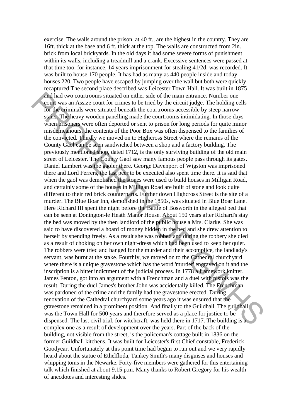exercise. The walls around the prison, at 40 ft., are the highest in the country. They are 16ft. thick at the base and 6 ft. thick at the top. The walls are constructed from 2in. brick from local brickyards. In the old days it had some severe forms of punishment within its walls, including a treadmill and a crank. Excessive sentences were passed at that time too. for instance, 14 years imprisonment for stealing 41/2d. was recorded. It was built to house 170 people. It has had as many as 440 people inside and today houses 220. Two people have escaped by jumping over the wall but both were quickly recaptured.The second place described was Leicester Town Hall. It was built in 1875 and had two courtrooms situated on either side of the main entrance. Number one court was an Assize court for crimes to be tried by the circuit judge. The holding cells for the criminals were situated beneath the courtrooms accessible by steep narrow stairs. The heavy wooden panelling made the courtrooms intimidating. In those days when prisoners were often deported or sent to prison for long periods for quite minor misdemeanours, the contents of the Poor Box was often dispensed to the families of the convicted. Thirdly we moved on to Highcross Street where the remains of the County Gaol can be seen sandwiched between a shop and a factory building. The previously mentioned shop, dated 1712, is the only surviving building of the old main street of Leicester. The County Gaol saw many famous people pass through its gates. Daniel Lambert was the gaoler there. George Davenport of Wigston was imprisoned there and Lord Ferrers, the last peer to be executed also spent time there. It is said that when the gaol was demolished the stones were used to build houses in Milligan Road, and certainly some of the houses in Milligan Road are built of stone and look quite different to their red brick counterparts. Further down Highcross Street is the site of a murder. The Blue Boar Inn, demolished in the 1850s, was situated in Blue Boar Lane. Here Richard III spent the night before the Battle of Bosworth in the alleged bed that can be seen at Donington-le Heath Manor House. About 150 years after Richard's stay the bed was moved by the then landlord of the public house a Mrs. Clarke. She was said to have discovered a hoard of money hidden in the bed and she drew attention to herself by spending freely. As a result she was robbed and during the robbery she died as a result of choking on her own night-dress which had been used to keep her quiet. The robbers were tried and hanged for the murder and their accomplice, the landlady's servant, was burnt at the stake. Fourthly, we moved on to the Cathedral churchyard where there is a unique gravestone which has the word 'murder' engraved on it and the inscription is a bitter indictment of the judicial process. In 1778 a framework knitter, James Fenton, got into an argument with a Frenchman and a duel with pistols was the result. During the duel James's brother John was accidentally killed. The Frenchman was pardoned of the crime and the family had the gravestone erected. During renovation of the Cathedral churchyard some years ago it was ensured that the gravestone remained in a prominent position. And finally to the Guildhall. The guildhall was the Town Hall for 500 years and therefore served as a place for justice to be dispensed. The last civil trial, for witchcraft, was held there in 1717. The building is a complex one as a result of development over the years. Part of the back of the building, not visible from the street, is the policeman's cottage built in 1836 on the former Guildhall kitchens. It was built for Leicester's first Chief constable, Frederick Goodyear. Unfortunately at this point time had begun to run out and we very rapidly heard about the statue of Ethelfloda, Tankey Smith's many disguises and houses and whipping toms in the Newarke. Forty-five members were gathered for this entertaining talk which finished at about 9.15 p.m. Many thanks to Robert Gregory for his wealth of anecdotes and interesting slides. and had two courtroons situated on either side of the main entrace. Number one<br>for that was un Assize court for crimes to be tried by the circuit prosed by the behanding cells<br>of the ceiminals were situated hencant the co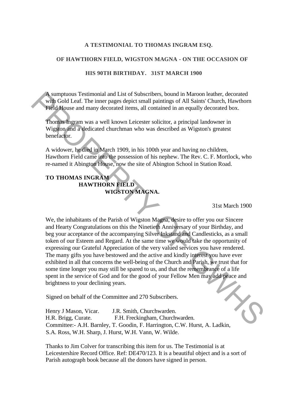### **A TESTIMONIAL TO THOMAS INGRAM ESQ.**

#### **OF HAWTHORN FIELD, WIGSTON MAGNA - ON THE OCCASION OF**

### **HIS 90TH BIRTHDAY. 31ST MARCH 1900**

A sumptuous Testimonial and List of Subscribers, bound in Maroon leather, decorated with Gold Leaf. The inner pages depict small paintings of All Saints' Church, Hawthorn Field House and many decorated items, all contained in an equally decorated box.

Thomas Ingram was a well known Leicester solicitor, a principal landowner in Wigston and a dedicated churchman who was described as Wigston's greatest benefactor.

A widower, he died in March 1909, in his 100th year and having no children, Hawthorn Field came into the possession of his nephew. The Rev. C. F. Mortlock, who re-named it Abington House, now the site of Abington School in Station Road.

# **TO THOMAS INGRAM HAWTHORN FIELD WIGSTON MAGNA.**

31st March 1900

We, the inhabitants of the Parish of Wigston Magna, desire to offer you our Sincere and Hearty Congratulations on this the Ninetieth Anniversary of your Birthday, and beg your acceptance of the accompanying Silver Inkstand and Candlesticks, as a small token of our Esteem and Regard. At the same time we would take the opportunity of expressing our Grateful Appreciation of the very valued services you have rendered. The many gifts you have bestowed and the active and kindly interest you have ever exhibited in all that concerns the well-being of the Church and Parish, we trust that for some time longer you may still be spared to us, and that the remembrance of a life spent in the service of God and for the good of your Fellow Men may add peace and brightness to your declining years. A uniquous Testimonial and List of Subscribers, bound in Maroon leather, decorated through with Gold Leaf. The inner pages depict small paintings of All Saints' Church, Hawthorn Field House and many decorated inms, all co

Signed on behalf of the Committee and 270 Subscribers.

Henry J Mason, Vicar. J.R. Smith, Churchwarden. H.R. Brigg, Curate. F.H. Freckingham, Churchwarden. Committee:- A.H. Barnley, T. Goodin, F. Harrington, C.W. Hurst, A. Ladkin, S.A. Ross, W.H. Sharp, J. Hurst, W.H. Vann, W. Wilde.

Thanks to Jim Colver for transcribing this item for us. The Testimonial is at Leicestershire Record Office. Ref: DE470/123. It is a beautiful object and is a sort of Parish autograph book because all the donors have signed in person.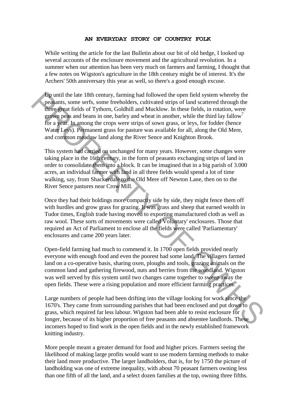#### **AN EVERYDAY STORY OF COUNTRY FOLK**

While writing the article for the last Bulletin about our bit of old hedge, I looked up several accounts of the enclosure movement and the agricultural revolution. In a summer when our attention has been very much on farmers and farming, I thought that a few notes on Wigston's agriculture in the 18th century might be of interest. It's the Archers' 50th anniversary this year as well, so there's a good enough excuse.

Up until the late 18th century, farming had followed the open field system whereby the peasants, some serfs, some freeholders, cultivated strips of land scattered through the three great fields of Tythorn, Goldhill and Mucklow. In these fields, in rotation, were grown peas and beans in one, barley and wheat in another, while the third lay fallow for a year. In among the crops were strips of sown grass, or leys, for fodder (hence Water Leys). Permanent grass for pasture was available for all, along the Old Mere, and common meadow land along the River Sence and Knighton Brook. (b) until the late I8th century, farming had followed the open field system wherely the<br>peasants, some serfs, some freedoders, cultivated strips of land scattered through the<br>mechanism of Euclidos of Tythorn, Goldhill and

This system had carried on unchanged for many years. However, some changes were taking place in the 16th century, in the form of peasants exchanging strips of land in order to consolidate them into a block. It can be imagined that in a big parish of 3.000 acres, an individual farmer with land in all three fields would spend a lot of time walking, say, from Shackerdale to the Old Mere off Newton Lane, then on to the River Sence pastures near Crow Mill.

Once they had their holdings more compactly side by side, they might fence them off with hurdles and grow grass for grazing. It was grass and sheep that earned wealth in Tudor times, English trade having moved to exporting manufactured cloth as well as raw wool. These sorts of movements were called Voluntary' enclosures. Those that required an Act of Parliament to enclose all the fields were called 'Parliamentary' enclosures and came 200 years later.

Open-field farming had much to commend it. In 1700 open fields provided nearly everyone with enough food and even the poorest had some land. The villagers farmed land on a co-operative basis, sharing oxen, ploughs and tools, grazing animals on the common land and gathering firewood, nuts and berries from the woodland. Wigston was well served by this system until two changes came together to sweep away the open fields. These were a rising population and more efficient farming practices.

Large numbers of people had been drifting into the village looking for work since the 1670's. They came from surrounding parishes that had been enclosed and put down to grass, which required far less labour. Wigston had been able to resist enclosure for longer, because of its higher proportion of free peasants and absentee landlords. These incomers hoped to find work in the open fields and in the newly established framework knitting industry.

More people meant a greater demand for food and higher prices. Farmers seeing the likelihood of making large profits would want to use modern farming methods to make their land more productive. The larger landholders, that is, for by 1750 the picture of landholding was one of extreme inequality, with about 70 peasant farmers owning less than one fifth of all the land, and a select dozen families at the top, owning three fifths.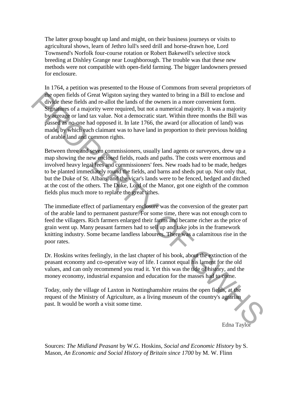The latter group bought up land and might, on their business journeys or visits to agricultural shows, learn of Jethro lull's seed drill and horse-drawn hoe, Lord Townsend's Norfolk four-course rotation or Robert Bakewell's selective stock breeding at Dishley Grange near Loughborough. The trouble was that these new methods were not compatible with open-field farming. The bigger landowners pressed for enclosure.

In 1764, a petition was presented to the House of Commons from several proprietors of the open fields of Great Wigston saying they wanted to bring in a Bill to enclose and divide these fields and re-allot the lands of the owners in a more convenient form. Signatures of a majority were required, but not a numerical majority. It was a majority by acreage or land tax value. Not a democratic start. Within three months the Bill was passed as no-one had opposed it. In late 1766, the award (or allocation of land) was made, by which each claimant was to have land in proportion to their previous holding of arable land and common rights. the open fields of Great Wigston saying they wanted to bring in a Bill to enclose and<br>
divide these fields and re-allot the lands of the owners in a more convenient form.<br>
Signaltnes of a majority were required, but not a

Between three and seven commissioners, usually land agents or surveyors, drew up a map showing the new enclosed fields, roads and paths. The costs were enormous and involved heavy legal fees and commissioners' fees. New roads had to be made, hedges to be planted immediately round the fields, and barns and sheds put up. Not only that, but the Duke of St. Albans' and the vicar's lands were to be fenced, hedged and ditched at the cost of the others. The Duke, Lord of the Manor, got one eighth of the common fields plus much more to replace the great tithes.

The immediate effect of parliamentary enclosure was the conversion of the greater part of the arable land to permanent pasture. For some time, there was not enough corn to feed the villagers. Rich farmers enlarged their farms and became richer as the price of grain went up. Many peasant farmers had to sell up and take jobs in the framework knitting industry. Some became landless labourers. There was a calamitous rise in the poor rates.

Dr. Hoskins writes feelingly, in the last chapter of his book, about the extinction of the peasant economy and co-operative way of life. I cannot equal his lament for the old values, and can only recommend you read it. Yet this was the tide of history, and the money economy, industrial expansion and education for the masses had to come.

Today, only the village of Laxton in Nottinghamshire retains the open fields, at the request of the Ministry of Agriculture, as a living museum of the country's agrarian past. It would be worth a visit some time.

Edna Taylor

Sources: *The Midland Peasant* by W.G. Hoskins, *Social and Economic History* by S. Mason, *An Economic and Social History of Britain since 1700* by M. W. Flinn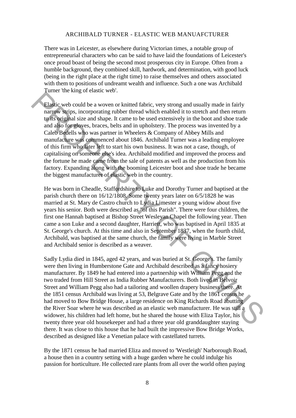#### ARCHIBALD TURNER - ELASTIC WEB MANUAFCTURER

There was in Leicester, as elsewhere during Victorian times, a notable group of entrepreneurial characters who can be said to have laid the foundations of Leicester's once proud boast of being the second most prosperous city in Europe. Often from a humble background, they combined skill, hardwork, and determination, with good luck (being in the right place at the right time) to raise themselves and others associated with them to positions of undreamt wealth and influence. Such a one was Archibald Turner 'the king of elastic web'.

Elastic web could be a woven or knitted fabric, very strong and usually made in fairly narrow strips, incorporating rubber thread which enabled it to stretch and then return to its original size and shape. It came to be used extensively in the boot and shoe trade and also for gloves, braces, belts and in upholstery. The process was invented by a Caleb Bedells who was partner in Wheelers & Company of Abbey Mills and manufacture was commenced about 1846. Archibald Turner was a leading employee of this firm who later left to start his own business. It was not a case, though, of capitalising on someone else's idea. Archibald modified and improved the process and the fortune he made came from the sale of patents as well as the production from his factory. Expanding along with the booming Leicester boot and shoe trade he became the biggest manufacturer of elastic web in the country. **Elastic web could be a woven or knitted fabric, very strong and usually made in fairly hardwine, we could be a woven or knitted fabric, very strong and usually made in fairly hardwine in comparisoint aixe and shape. It c** 

He was born in Cheadle, Staffordshire to Luke and Dorothy Turner and baptised at the parish church there on 16/12/1808. Some twenty years later on 6/5/1828 he was married at St. Mary de Castro church to Lydia Limester a young widow about five years his senior. Both were described as "of this Parish". There were four children, the first one Hannah baptised at Bishop Street Wesleyan Chapel the following year. Then came a son Luke and a second daughter, Harriett, who was baptised in April 1835 at St. George's church. At this time and also in September 1837, when the fourth child, Archibald, was baptised at the same church, the family were living in Marble Street and Archibald senior is described as a weaver.

Sadly Lydia died in 1845, aged 42 years, and was buried at St. George's. The family were then living in Humberstone Gate and Archibald described as a fancy hosiery manufacturer. By 1849 he had entered into a partnership with William Pegg and the two traded from Hill Street as India Rubber Manufacturers. Both lived in Belvoir Street and William Pegg also had a tailoring and woollen drapery business there. At the 1851 census Archibald was living at 53, Belgrave Gate and by the 1861 census he had moved to Bow Bridge House, a large residence on King Richards Road abutting the River Soar where he was described as an elastic web manufacturer. He was still a widower, his children had left home, but he shared the house with Eliza Taylor, his twenty three year old housekeeper and had a three year old granddaughter staying there. It was close to this house that he had built the impressive Bow Bridge Works, described as designed like a Venetian palace with castellated turrets.

By the 1871 census he had married Eliza and moved to 'Westleigh' Narborough Road, a house then in a country setting with a huge garden where he could indulge his passion for horticulture. He collected rare plants from all over the world often paying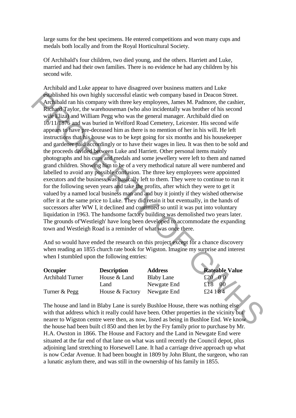large sums for the best specimens. He entered competitions and won many cups and medals both locally and from the Royal Horticultural Society.

Of Archibald's four children, two died young, and the others. Harriett and Luke, married and had their own families. There is no evidence he had any children by his second wife.

Archibald and Luke appear to have disagreed over business matters and Luke established his own highly successful elastic web company based in Deacon Street. Archibald ran his company with three key employees, James M. Padmore, the cashier, Richard Taylor, the warehouseman (who also incidentally was brother of his second wife Eliza) and William Pegg who was the general manager. Archibald died on 10/11/1876 and was buried in Welford Road Cemetery, Leicester. His second wife appears to have pre-deceased him as there is no mention of her in his will. He left instructions that his house was to be kept going for six months and his housekeeper and gardener paid accordingly or to have their wages in lieu. It was then to be sold and the proceeds divided between Luke and Harriett. Other personal items mainly photographs and his cups and medals and some jewellery were left to them and named grand children. Showing him to be of a very methodical nature all were numbered and labelled to avoid any possible confusion. The three key employees were appointed executors and the business was basically left to them. They were to continue to run it for the following seven years and take the profits, after which they were to get it valued by a named local business man and and buy it jointly if they wished otherwise offer it at the same price to Luke. They did retain it but eventually, in the hands of successors after WW I, it declined and continued so until it was put into voluntary liquidation in 1963. The handsome factory building was demolished two years later. The grounds of'Westleigh' have long been developed to accommodate the expanding town and Westleigh Road is a reminder of what was once there. **Example that** control the moment particular is the constrained in the constrained in the second with the second with three key employees, James M. Padmore, the cashier, Richard Taylor, the warehouseman (who also incident

And so would have ended the research on this project except for a chance discovery when reading an 1855 church rate book for Wigston. Imagine my surprise and interest when I stumbled upon the following entries:

**Occupier Description Address Rateable Value** Archibald Turner House & Land Blaby Lane £20 0 0 Land Newgate End £18 00 Turner & Pegg House & Factory Newgate End £24 184

The house and land in Blaby Lane is surely Bushloe House, there was nothing else with that address which it really could have been. Other properties in the vicinity but nearer to Wigston centre were then, as now, listed as being in Bushloe End. We know the house had been built cl 850 and then let by the Fry family prior to purchase by Mr. H.A. Owston in 1866. The House and Factory and the Land in Newgate End were situated at the far end of that lane on what was until recently the Council depot, plus adjoining land stretching to Horsewell Lane. It had a carriage drive approach up what is now Cedar Avenue. It had been bought in 1809 by John Blunt, the surgeon, who ran a lunatic asylum there, and was still in the ownership of his family in 1855.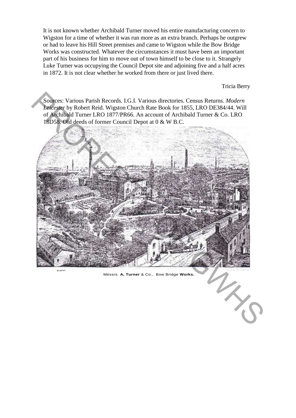It is not known whether Archibald Turner moved his entire manufacturing concern to Wigston for a time of whether it was run more as an extra branch. Perhaps he outgrew or had to leave his Hill Street premises and came to Wigston while the Bow Bridge Works was constructed. Whatever the circumstances it must have been an important part of his business for him to move out of town himself to be close to it. Strangely Luke Turner was occupying the Council Depot site and adjoining five and a half acres in 1872. It is not clear whether he worked from there or just lived there.

Tricia Berry

Sources: Various Parish Records. I.G.I. Various directories. Census Returns. *Modern Leicester* by Robert Reid. Wigston Church Rate Book for 1855, LRO DE384/44. Will of Archibald Turner LRO 1877/PR66. An account of Archibald Turner & Co. LRO 18D58. Old deeds of former Council Depot at 0 & W B.C.



Messrs. **A, Turner** & Co., Bow Bridge **Works.**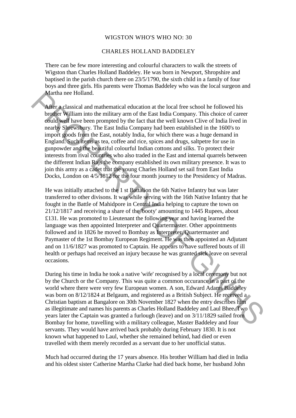#### WIGSTON WHO'S WHO NO: 30

#### CHARLES HOLLAND BADDELEY

There can be few more interesting and colourful characters to walk the streets of Wigston than Charles Holland Baddeley. He was born in Newport, Shropshire and baptised in the parish church there on 23/5/1790, the sixth child in a family of four boys and three girls. His parents were Thomas Baddeley who was the local surgeon and Martha nee Holland.

After a classical and mathematical education at the local free school he followed his brother William into the military arm of the East India Company. This choice of career could well have been prompted by the fact that the well known Clive of India lived in nearby Shrewsbury. The East India Company had been established in the 1600's to import goods from the East, notably India, for which there was a huge demand in England. Such items as tea, coffee and rice, spices and drugs, saltpetre for use in gunpowder and the beautiful colourful Indian cottons and silks. To protect their interests from rival countries who also traded in the East and internal quarrels between the different Indian Rajs the company established its own military presence. It was to join this army as a cadet that the young Charles Holland set sail from East India Docks, London on 4/5/1812 for the four month journey to the Presidency of Madras. Martha nee Holland.<br>
Martha nee Holland.<br>
Martha nee Holland mathematical education at the local free school he followed his<br>
broflee William into the military arm of the East India Company. This choice of career<br>
could w

He was initially attached to the 1 st Battalion the 6th Native Infantry but was later transferred to other divisons. It was while serving with the 16th Native Infantry that he fought in the Battle of Mahidpore in Central India helping to capture the town on 21/12/1817 and receiving a share of the 'booty' amounting to 1445 Rupees, about £131. He was promoted to Lieutenant the following year and having learned the language was then appointed Interpreter and Quartermaster. Other appointments followed and in 1826 he moved to Bombay as Interpreter, Quartermaster and Paymaster of the 1st Bombay European Regiment. He was then appointed an Adjutant and on 11/6/1827 was promoted to Captain. He appears to have suffered bouts of ill health or perhaps had received an injury because he was granted sick leave on several occasions.

During his time in India he took a native 'wife' recognised by a local ceremony but not by the Church or the Company. This was quite a common occurance in a part of the world where there were very few European women. A son, Edward Adams Baddeley was born on 8/12/1824 at Belgaum, and registered as a British Subject. He received a Christian baptism at Bangalore on 30th November 1827 when the entry describes him as illegitimate and names his parents as Charles Holland Baddeley and Laul Bhee. Two years later the Captain was granted a furlough (leave) and on 3/11/1829 sailed from Bombay for home, travelling with a military colleague, Master Baddeley and four servants. They would have arrived back probably during February 1830. It is not known what happened to Laul, whether she remained behind, had died or even travelled with them merely recorded as a servant due to her unofficial status.

Much had occurred during the 17 years absence. His brother William had died in India and his oldest sister Catherine Martha Clarke had died back home, her husband John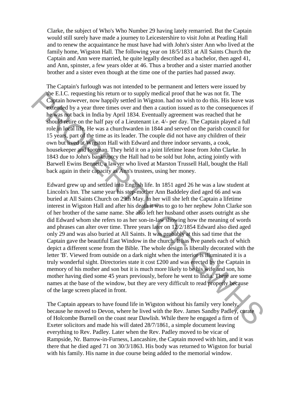Clarke, the subject of Who's Who Number 29 having lately remarried. But the Captain would still surely have made a journey to Leicestershire to visit John at Peatling Hall and to renew the acquaintance he must have had with John's sister Ann who lived at the family home, Wigston Hall. The following year on 18/5/1831 at All Saints Church the Captain and Ann were married, he quite legally described as a bachelor, then aged 41, and Ann, spinster, a few years older at 46. Thus a brother and a sister married another brother and a sister even though at the time one of the parties had passed away.

The Captain's furlough was not intended to be permanent and letters were issued by the E.I.C. requesting his return or to supply medical proof that he was not fit. The Captain however, now happily settled in Wigston. had no wish to do this. His leave was extended by a year three times over and then a caution issued as to the consequences if he was not back in India by April 1834. Eventually agreement was reached that he should retire on the half pay of a Lieutenant i.e. 4/- per day. The Captain played a full role in local life. He was a churchwarden in 1844 and served on the parish council for 15 years, part of the time as its leader. The couple did not have any children of their own but lived at Wigston Hall with Edward and three indoor servants, a cook, housekeeper and footman. They held it on a joint lifetime lease from John Clarke. In 1843 due to John's bankruptcy the Hall had to be sold but John, acting jointly with Barwell Ewins Bennett, a lawyer who lived at Marston Trussell Hall, bought the Hall back again in their capacity as Ann's trustees, using her money.

Edward grew up and settled into English life. In 1851 aged 26 he was a law student at Lincoln's Inn. The same year his step-mother Ann Baddeley died aged 66 and was buried at All Saints Church on 29th May. In her will she left the Captain a lifetime interest in Wigston Hall and after his death it was to go to her nephew John Clarke son of her brother of the same name. She also left her husband other assets outright as she did Edward whom she refers to as her son-in-law showing how the meaning of words and phrases can alter over time. Three years later on 12/2/1854 Edward also died aged only 29 and was also buried at All Saints. It was probably at this sad time that the Captain gave the beautiful East Window in the church. It has five panels each of which depict a different scene from the Bible. The whole design is liberally decorated with the letter 'B'. Viewed from outside on a dark night when the interior is illuminated it is a truly wonderful sight. Directories state it cost £200 and was erected by the Captain in memory of his mother and son but it is much more likely to be his wife and son, his mother having died some 45 years previously, before he went to India. There are some names at the base of the window, but they are very difficult to read properly because of the large screen placed in front. The E.I.C. requesting his retunn or to supply medial proof that he was not fit. The consider by a part three interests or and then a caution issued as to the consequences if the second by a part three interests or and the

The Captain appears to have found life in Wigston without his family very lonely, because he moved to Devon, where he lived with the Rev. James Sandby Padley, curate of Holcombe Burnell on the coast near Dawlish. While there he engaged a firm of Exeter solicitors and made his will dated 28/7/1861, a simple document leaving everything to Rev. Padley. Later when the Rev. Padley moved to be vicar of Rampside, Nr. Barrow-in-Furness, Lancashire, the Captain moved with him, and it was there that he died aged 71 on 30/3/1863. His body was returned to Wigston for burial with his family. His name in due course being added to the memorial window.